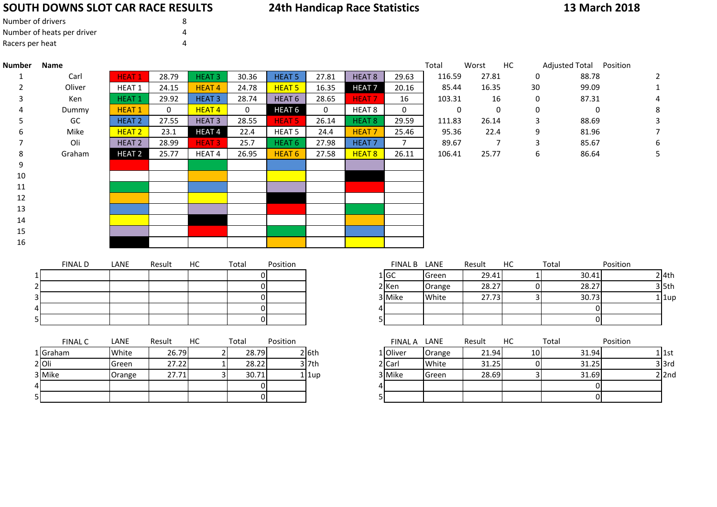# **SOUTH DOWNS SLOT CAR RACE RESULTS**

## **24th Handicap Race Statistics**

## **13 March 2018**

| Number of drivers          |  |
|----------------------------|--|
| Number of heats per driver |  |
| Racers per heat            |  |

| <b>Number</b> | <b>Name</b>    |                   |        |                   |                  |                   |          |                   |                  | Total       | Worst          | HC             | Adjusted Total Position |           |
|---------------|----------------|-------------------|--------|-------------------|------------------|-------------------|----------|-------------------|------------------|-------------|----------------|----------------|-------------------------|-----------|
| 1             | Carl           | <b>HEAT1</b>      | 28.79  | <b>HEAT3</b>      | 30.36            | <b>HEAT 5</b>     | 27.81    | HEAT <sub>8</sub> | 29.63            | 116.59      | 27.81          | 0              | 88.78                   | 2         |
| 2             | Oliver         | HEAT 1            | 24.15  | HEAT <sub>4</sub> | 24.78            | HEAT <sub>5</sub> | 16.35    | <b>HEAT7</b>      | 20.16            | 85.44       | 16.35          | 30             | 99.09                   |           |
| 3             | Ken            | <b>HEAT1</b>      | 29.92  | <b>HEAT3</b>      | 28.74            | HEAT <sub>6</sub> | 28.65    | <b>HEAT7</b>      | 16               | 103.31      | 16             | 0              | 87.31                   |           |
|               | Dummy          | <b>HEAT1</b>      | 0      | HEAT <sub>4</sub> | $\boldsymbol{0}$ | HEAT <sub>6</sub> | 0        | HEAT <sub>8</sub> | $\boldsymbol{0}$ | $\mathbf 0$ | $\mathbf 0$    | 0              | $\mathbf 0$             | 8         |
|               | GC             | <b>HEAT 2</b>     | 27.55  | <b>HEAT3</b>      | 28.55            | <b>HEAT 5</b>     | 26.14    | HEAT <sub>8</sub> | 29.59            | 111.83      | 26.14          | 3              | 88.69                   | 3         |
|               | Mike           | HEAT <sub>2</sub> | 23.1   | <b>HEAT4</b>      | 22.4             | HEAT <sub>5</sub> | 24.4     | <b>HEAT7</b>      | 25.46            | 95.36       | 22.4           | 9              | 81.96                   |           |
|               | Oli            | <b>HEAT 2</b>     | 28.99  | <b>HEAT3</b>      | 25.7             | HEAT <sub>6</sub> | 27.98    | <b>HEAT7</b>      | $\overline{7}$   | 89.67       | $\overline{7}$ | 3              | 85.67                   | 6         |
| 8             | Graham         | <b>HEAT 2</b>     | 25.77  | HEAT <sub>4</sub> | 26.95            | HEAT <sub>6</sub> | 27.58    | HEAT <sub>8</sub> | 26.11            | 106.41      | 25.77          | 6              | 86.64                   | 5         |
| 9             |                |                   |        |                   |                  |                   |          |                   |                  |             |                |                |                         |           |
| 10            |                |                   |        |                   |                  |                   |          |                   |                  |             |                |                |                         |           |
| 11            |                |                   |        |                   |                  |                   |          |                   |                  |             |                |                |                         |           |
| 12            |                |                   |        |                   |                  |                   |          |                   |                  |             |                |                |                         |           |
| 13            |                |                   |        |                   |                  |                   |          |                   |                  |             |                |                |                         |           |
| 14            |                |                   |        |                   |                  |                   |          |                   |                  |             |                |                |                         |           |
| 15            |                |                   |        |                   |                  |                   |          |                   |                  |             |                |                |                         |           |
| 16            |                |                   |        |                   |                  |                   |          |                   |                  |             |                |                |                         |           |
|               |                |                   |        |                   |                  |                   |          |                   |                  |             |                |                |                         |           |
|               | <b>FINAL D</b> | LANE              | Result | HC                | Total            | Position          |          |                   | FINAL B LANE     |             | Result         | HC             | Total                   | Position  |
|               |                |                   |        |                   | ΩI               |                   |          |                   | $1$ GC           | Green       | 29.41          |                | 30.41                   | $2$ 4th   |
|               |                |                   |        |                   | $\Omega$         |                   |          |                   | 2 Ken            | Orange      | 28.27          | $\overline{0}$ | 28.27                   | $3$ 5th   |
|               |                |                   |        |                   | $\overline{0}$   |                   |          |                   | 3 Mike           | White       | 27.73          | $\overline{3}$ | 30.73                   | $1$  1up  |
|               |                |                   |        |                   | $\Omega$         |                   |          | 4                 |                  |             |                |                | $\overline{0}$          |           |
|               |                |                   |        |                   | $\overline{0}$   |                   |          |                   | 5                |             |                |                | $\overline{0}$          |           |
|               | <b>FINAL C</b> | LANE              | Result | HC                | Total            | Position          |          |                   | FINAL A LANE     |             | Result         | HC             | Total                   | Position  |
|               | 1 Graham       | White             | 26.79  | $\overline{2}$    | 28.79            |                   | $2$ 6th  |                   | 1 Oliver         | Orange      | 21.94          | 10             | 31.94                   | $1$ 1st   |
|               | $2$ Oli        | Green             | 27.22  | $\mathbf 1$       | 28.22            |                   | $3$ 7th  |                   | $2$ Carl         | White       | 31.25          | $\overline{0}$ | 31.25                   | $3$ $3rd$ |
|               | 3 Mike         | Orange            | 27.71  | 3                 | 30.71            |                   | $1$  1up |                   | 3 Mike           | Green       | 28.69          | $\overline{3}$ | 31.69                   | $2$  2nd  |
|               |                |                   |        |                   | $\overline{0}$   |                   |          |                   | 4                |             |                |                | $\overline{0}$          |           |
|               |                |                   |        |                   | $\overline{0}$   |                   |          |                   | 5                |             |                |                | $\overline{0}$          |           |